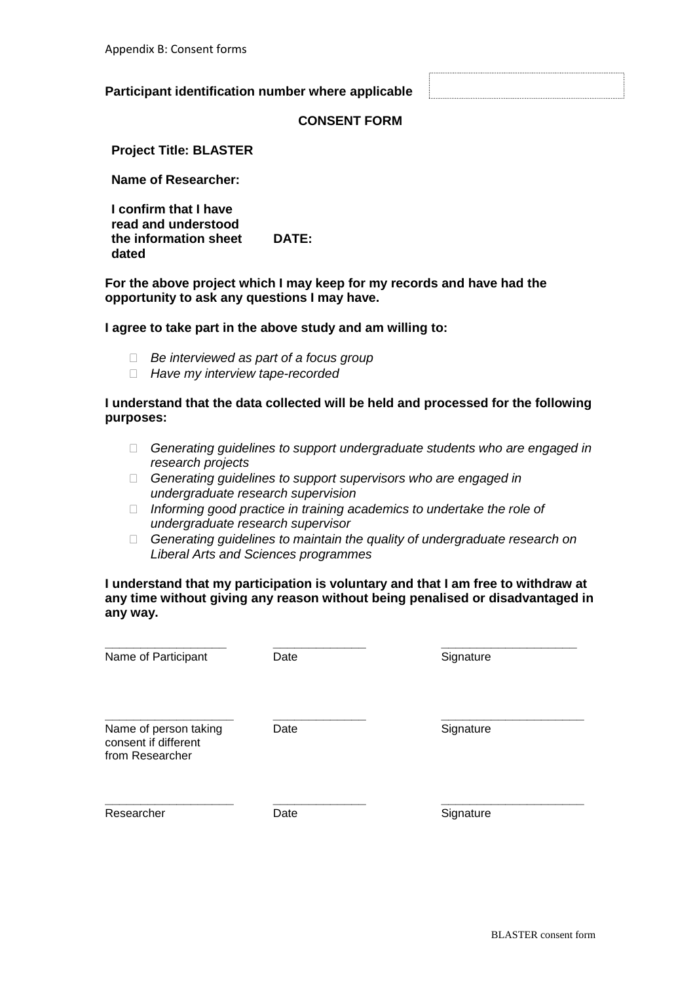### **Participant identification number where applicable**

# **CONSENT FORM**

**Project Title: BLASTER**

**Name of Researcher:**

**I confirm that I have read and understood the information sheet dated DATE:** 

**For the above project which I may keep for my records and have had the opportunity to ask any questions I may have.**

#### **I agree to take part in the above study and am willing to:**

- *Be interviewed as part of a focus group*
- *Have my interview tape-recorded*

### **I understand that the data collected will be held and processed for the following purposes:**

- *Generating guidelines to support undergraduate students who are engaged in research projects*
- *Generating guidelines to support supervisors who are engaged in undergraduate research supervision*
- *Informing good practice in training academics to undertake the role of undergraduate research supervisor*
- *Generating guidelines to maintain the quality of undergraduate research on Liberal Arts and Sciences programmes*

# **I understand that my participation is voluntary and that I am free to withdraw at any time without giving any reason without being penalised or disadvantaged in any way.**

| Name of Participant                                              | Date | Signature |
|------------------------------------------------------------------|------|-----------|
| Name of person taking<br>consent if different<br>from Researcher | Date | Signature |
| Researcher                                                       | Date | Signature |